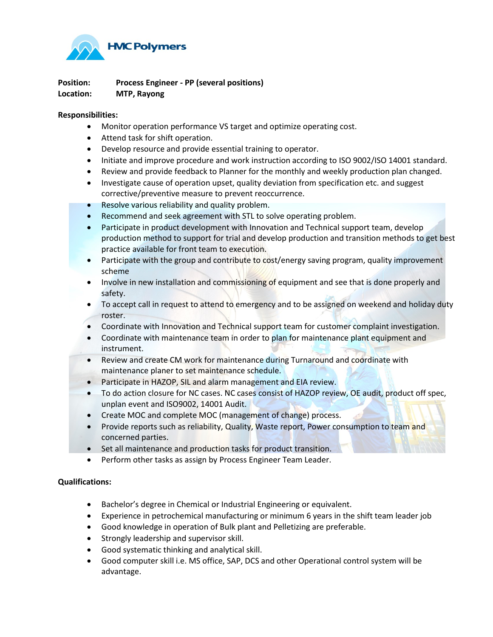

**Position: Process Engineer - PP (several positions) Location: MTP, Rayong**

## **Responsibilities:**

- Monitor operation performance VS target and optimize operating cost.
- Attend task for shift operation.
- Develop resource and provide essential training to operator.
- Initiate and improve procedure and work instruction according to ISO 9002/ISO 14001 standard.
- Review and provide feedback to Planner for the monthly and weekly production plan changed.
- Investigate cause of operation upset, quality deviation from specification etc. and suggest corrective/preventive measure to prevent reoccurrence.
- Resolve various reliability and quality problem.
- Recommend and seek agreement with STL to solve operating problem.
- Participate in product development with Innovation and Technical support team, develop production method to support for trial and develop production and transition methods to get best practice available for front team to execution.
- Participate with the group and contribute to cost/energy saving program, quality improvement scheme
- Involve in new installation and commissioning of equipment and see that is done properly and safety.
- To accept call in request to attend to emergency and to be assigned on weekend and holiday duty roster.
- Coordinate with Innovation and Technical support team for customer complaint investigation.
- Coordinate with maintenance team in order to plan for maintenance plant equipment and instrument.
- Review and create CM work for maintenance during Turnaround and coordinate with maintenance planer to set maintenance schedule.
- Participate in HAZOP, SIL and alarm management and EIA review.
- To do action closure for NC cases. NC cases consist of HAZOP review, OE audit, product off spec, unplan event and ISO9002, 14001 Audit.
- Create MOC and complete MOC (management of change) process.
- Provide reports such as reliability, Quality, Waste report, Power consumption to team and concerned parties.
- Set all maintenance and production tasks for product transition.
- Perform other tasks as assign by Process Engineer Team Leader.

## **Qualifications:**

- Bachelor's degree in Chemical or Industrial Engineering or equivalent.
- Experience in petrochemical manufacturing or minimum 6 years in the shift team leader job
- Good knowledge in operation of Bulk plant and Pelletizing are preferable.
- Strongly leadership and supervisor skill.
- Good systematic thinking and analytical skill.
- Good computer skill i.e. MS office, SAP, DCS and other Operational control system will be advantage.